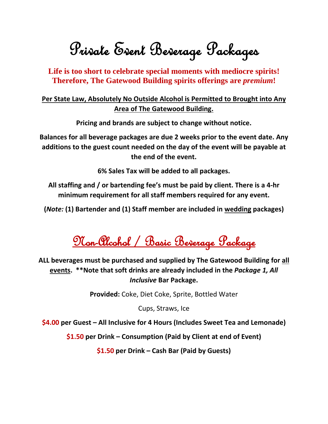Private Event Beverage Packages

**Life is too short to celebrate special moments with mediocre spirits! Therefore, The Gatewood Building spirits offerings are** *premium***!**

## **Per State Law, Absolutely No Outside Alcohol is Permitted to Brought into Any Area of The Gatewood Building.**

**Pricing and brands are subject to change without notice.**

**Balances for all beverage packages are due 2 weeks prior to the event date. Any additions to the guest count needed on the day of the event will be payable at the end of the event.**

**6% Sales Tax will be added to all packages.**

**All staffing and / or bartending fee's must be paid by client. There is a 4-hr minimum requirement for all staff members required for any event.**

**(***Note:* **(1) Bartender and (1) Staff member are included in wedding packages)**

Non-Alcohol / Basic Beverage Package

**ALL beverages must be purchased and supplied by The Gatewood Building for all events. \*\*Note that soft drinks are already included in the** *Package 1, All Inclusive* **Bar Package.**

**Provided:** Coke, Diet Coke, Sprite, Bottled Water

Cups, Straws, Ice

**\$4.00 per Guest – All Inclusive for 4 Hours (Includes Sweet Tea and Lemonade)**

**\$1.50 per Drink – Consumption (Paid by Client at end of Event)**

**\$1.50 per Drink – Cash Bar (Paid by Guests)**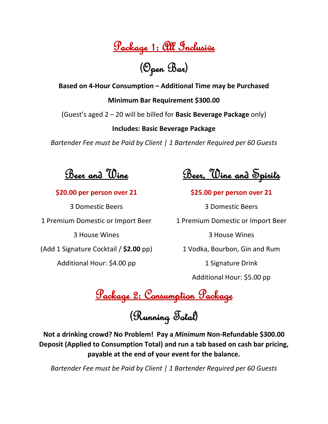Package 1: All Inclusive

(Open Bar)

**Based on 4-Hour Consumption – Additional Time may be Purchased**

**Minimum Bar Requirement \$300.00**

(Guest's aged 2 – 20 will be billed for **Basic Beverage Package** only)

**Includes: Basic Beverage Package** 

*Bartender Fee must be Paid by Client | 1 Bartender Required per 60 Guests*

Beer and Wine

**\$20.00 per person over 21**

3 Domestic Beers 1 Premium Domestic or Import Beer 3 House Wines (Add 1 Signature Cocktail / **\$2.00** pp) Additional Hour: \$4.00 pp

<u>Beer, Wine and Spirils</u>

**\$25.00 per person over 21**

3 Domestic Beers 1 Premium Domestic or Import Beer 3 House Wines 1 Vodka, Bourbon, Gin and Rum 1 Signature Drink

Additional Hour: \$5.00 pp

Package 2: Consumption Package

(Running Total)

**Not a drinking crowd? No Problem! Pay a** *Minimum* **Non-Refundable \$300.00 Deposit (Applied to Consumption Total) and run a tab based on cash bar pricing, payable at the end of your event for the balance.**

*Bartender Fee must be Paid by Client | 1 Bartender Required per 60 Guests*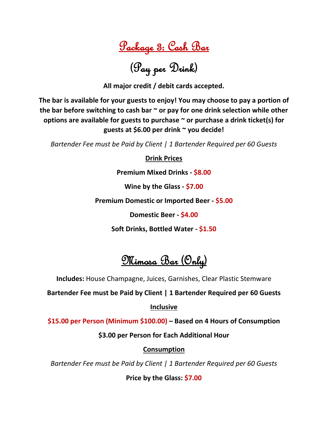Package 3: Cash Bar

(Pay per Drink)

**All major credit / debit cards accepted.**

**The bar is available for your guests to enjoy! You may choose to pay a portion of the bar before switching to cash bar ~ or pay for one drink selection while other options are available for guests to purchase ~ or purchase a drink ticket(s) for guests at \$6.00 per drink ~ you decide!**

*Bartender Fee must be Paid by Client | 1 Bartender Required per 60 Guests*

**Drink Prices**

**Premium Mixed Drinks - \$8.00**

**Wine by the Glass - \$7.00**

**Premium Domestic or Imported Beer - \$5.00**

**Domestic Beer - \$4.00**

**Soft Drinks, Bottled Water - \$1.50**

Mimosa Bar (Only)

**Includes:** House Champagne, Juices, Garnishes, Clear Plastic Stemware

**Bartender Fee must be Paid by Client | 1 Bartender Required per 60 Guests**

**Inclusive**

**\$15.00 per Person (Minimum \$100.00) – Based on 4 Hours of Consumption**

**\$3.00 per Person for Each Additional Hour**

### **Consumption**

*Bartender Fee must be Paid by Client | 1 Bartender Required per 60 Guests*

**Price by the Glass: \$7.00**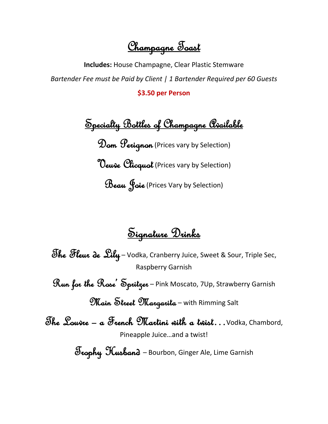<u>Champagne Toast</u>

**Includes:** House Champagne, Clear Plastic Stemware *Bartender Fee must be Paid by Client | 1 Bartender Required per 60 Guests*

**\$3.50 per Person**

Specialty Bottles of Champagne Available Dom Perignon (Prices vary by Selection) **Oeuve Clicquol** (Prices vary by Selection) Beau Joie (Prices Vary by Selection)

Signature Drinks

The Fleur de Sily - Vodka, Cranberry Juice, Sweet & Sour, Triple Sec, Raspberry Garnish

Run for the Rose' Spritzer – Pink Moscato, 7Up, Strawberry Garnish

Main Street Margarita – with Rimming Salt

The Louvre – a French Martini with a twist…Vodka, Chambord, Pineapple Juice…and a twist!

Trophy Husband – Bourbon, Ginger Ale, Lime Garnish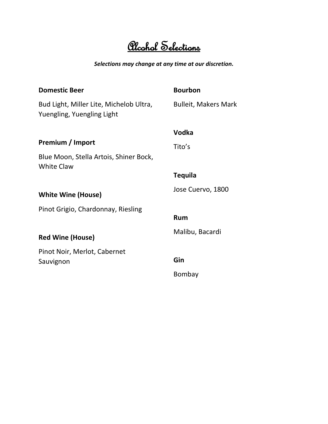# Alcohol Selections

#### *Selections may change at any time at our discretion.*

| <b>Domestic Beer</b>                                                  | <b>Bourbon</b>              |
|-----------------------------------------------------------------------|-----------------------------|
| Bud Light, Miller Lite, Michelob Ultra,<br>Yuengling, Yuengling Light | <b>Bulleit, Makers Mark</b> |
|                                                                       | Vodka                       |
| Premium / Import                                                      | Tito's                      |
| Blue Moon, Stella Artois, Shiner Bock,<br><b>White Claw</b>           |                             |
|                                                                       | <b>Tequila</b>              |
| <b>White Wine (House)</b>                                             | Jose Cuervo, 1800           |
| Pinot Grigio, Chardonnay, Riesling                                    |                             |
|                                                                       | Rum                         |
| <b>Red Wine (House)</b>                                               | Malibu, Bacardi             |
| Pinot Noir, Merlot, Cabernet                                          |                             |
| Sauvignon                                                             | Gin                         |
|                                                                       | Bombay                      |